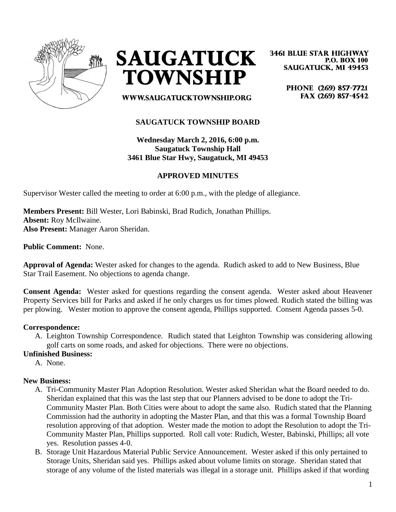



**3461 BLUE STAR HIGHWAY P.O. BOX 100 SAUGATUCK, MI 49453** 

> PHONE (269) 857-7721 FAX (269) 857-4542

WWW.SAUGATUCKTOWNSHIP.ORG

## **SAUGATUCK TOWNSHIP BOARD**

**Wednesday March 2, 2016, 6:00 p.m. Saugatuck Township Hall 3461 Blue Star Hwy, Saugatuck, MI 49453**

## **APPROVED MINUTES**

Supervisor Wester called the meeting to order at 6:00 p.m., with the pledge of allegiance.

**Members Present:** Bill Wester, Lori Babinski, Brad Rudich, Jonathan Phillips. **Absent:** Roy McIlwaine. **Also Present:** Manager Aaron Sheridan.

**Public Comment:** None.

**Approval of Agenda:** Wester asked for changes to the agenda. Rudich asked to add to New Business, Blue Star Trail Easement. No objections to agenda change.

**Consent Agenda:** Wester asked for questions regarding the consent agenda. Wester asked about Heavener Property Services bill for Parks and asked if he only charges us for times plowed. Rudich stated the billing was per plowing. Wester motion to approve the consent agenda, Phillips supported. Consent Agenda passes 5-0.

#### **Correspondence:**

A. Leighton Township Correspondence. Rudich stated that Leighton Township was considering allowing golf carts on some roads, and asked for objections. There were no objections.

#### **Unfinished Business:**

A. None.

#### **New Business:**

- A. Tri-Community Master Plan Adoption Resolution. Wester asked Sheridan what the Board needed to do. Sheridan explained that this was the last step that our Planners advised to be done to adopt the Tri-Community Master Plan. Both Cities were about to adopt the same also. Rudich stated that the Planning Commission had the authority in adopting the Master Plan, and that this was a formal Township Board resolution approving of that adoption. Wester made the motion to adopt the Resolution to adopt the Tri-Community Master Plan, Phillips supported. Roll call vote: Rudich, Wester, Babinski, Phillips; all vote yes. Resolution passes 4-0.
- B. Storage Unit Hazardous Material Public Service Announcement. Wester asked if this only pertained to Storage Units, Sheridan said yes. Phillips asked about volume limits on storage. Sheridan stated that storage of any volume of the listed materials was illegal in a storage unit. Phillips asked if that wording